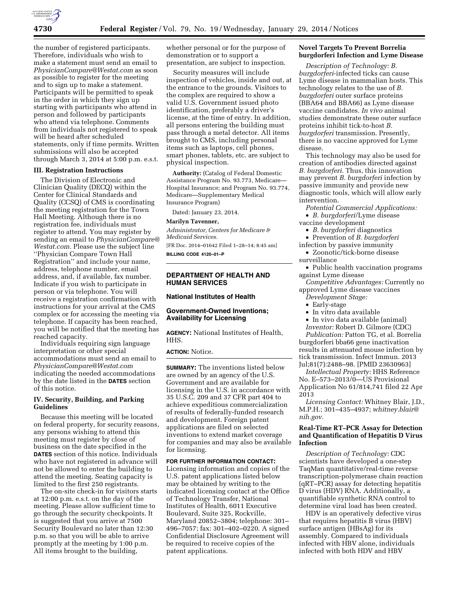

the number of registered participants. Therefore, individuals who wish to make a statement must send an email to *[PhysicianCompare@Westat.com](mailto:PhysicianCompare@Westat.com)* as soon as possible to register for the meeting and to sign up to make a statement. Participants will be permitted to speak in the order in which they sign up starting with participants who attend in person and followed by participants who attend via telephone. Comments from individuals not registered to speak will be heard after scheduled statements, only if time permits. Written submissions will also be accepted through March 3, 2014 at 5:00 p.m. e.s.t.

#### **III. Registration Instructions**

The Division of Electronic and Clinician Quality (DECQ) within the Center for Clinical Standards and Quality (CCSQ) of CMS is coordinating the meeting registration for the Town Hall Meeting. Although there is no registration fee, individuals must register to attend. You may register by sending an email to *[PhysicianCompare@](mailto:PhysicianCompare@Westat.com) [Westat.com.](mailto:PhysicianCompare@Westat.com)* Please use the subject line ''Physician Compare Town Hall Registration'' and include your name, address, telephone number, email address, and, if available, fax number. Indicate if you wish to participate in person or via telephone. You will receive a registration confirmation with instructions for your arrival at the CMS complex or for accessing the meeting via telephone. If capacity has been reached, you will be notified that the meeting has reached capacity.

Individuals requiring sign language interpretation or other special accommodations must send an email to *[PhysicianCompare@Westat.com](mailto:PhysicianCompare@Westat.com)*  indicating the needed accommodations by the date listed in the **DATES** section of this notice.

#### **IV. Security, Building, and Parking Guidelines**

Because this meeting will be located on federal property, for security reasons, any persons wishing to attend this meeting must register by close of business on the date specified in the **DATES** section of this notice. Individuals who have not registered in advance will not be allowed to enter the building to attend the meeting. Seating capacity is limited to the first 250 registrants.

The on-site check-in for visitors starts at 12:00 p.m. e.s.t. on the day of the meeting. Please allow sufficient time to go through the security checkpoints. It is suggested that you arrive at 7500 Security Boulevard no later than 12:30 p.m. so that you will be able to arrive promptly at the meeting by 1:00 p.m. All items brought to the building,

whether personal or for the purpose of demonstration or to support a presentation, are subject to inspection.

Security measures will include inspection of vehicles, inside and out, at the entrance to the grounds. Visitors to the complex are required to show a valid U.S. Government issued photo identification, preferably a driver's license, at the time of entry. In addition, all persons entering the building must pass through a metal detector. All items brought to CMS, including personal items such as laptops, cell phones, smart phones, tablets, etc. are subject to physical inspection.

**Authority:** (Catalog of Federal Domestic Assistance Program No. 93.773, Medicare— Hospital Insurance; and Program No. 93.774, Medicare—Supplementary Medical Insurance Program)

Dated: January 23, 2014.

#### **Marilyn Tavenner,**

*Administrator, Centers for Medicare & Medicaid Services.* 

[FR Doc. 2014–01642 Filed 1–28–14; 8:45 am] **BILLING CODE 4120–01–P** 

### **DEPARTMENT OF HEALTH AND HUMAN SERVICES**

### **National Institutes of Health**

#### **Government-Owned Inventions; Availability for Licensing**

**AGENCY:** National Institutes of Health, HHS.

**ACTION:** Notice.

**SUMMARY:** The inventions listed below are owned by an agency of the U.S. Government and are available for licensing in the U.S. in accordance with 35 U.S.C. 209 and 37 CFR part 404 to achieve expeditious commercialization of results of federally-funded research and development. Foreign patent applications are filed on selected inventions to extend market coverage for companies and may also be available for licensing.

### **FOR FURTHER INFORMATION CONTACT:**

Licensing information and copies of the U.S. patent applications listed below may be obtained by writing to the indicated licensing contact at the Office of Technology Transfer, National Institutes of Health, 6011 Executive Boulevard, Suite 325, Rockville, Maryland 20852–3804; telephone: 301– 496–7057; fax: 301–402–0220. A signed Confidential Disclosure Agreement will be required to receive copies of the patent applications.

### **Novel Targets To Prevent Borrelia burgdorferi Infection and Lyme Disease**

*Description of Technology: B. burgdorferi*-infected ticks can cause Lyme disease in mammalian hosts. This technology relates to the use of *B. burgdorferi* outer surface proteins (BBA64 and BBA66) as Lyme disease vaccine candidates. *In vivo* animal studies demonstrate these outer surface proteins inhibit tick-to-host *B. burgdorferi* transmission. Presently, there is no vaccine approved for Lyme disease.

This technology may also be used for creation of antibodies directed against *B. burgdorferi.* Thus, this innovation may prevent *B. burgdorferi* infection by passive immunity and provide new diagnostic tools, which will allow early intervention.

- *Potential Commercial Applications:*
- *B. burgdorferi*/Lyme disease vaccine development
	- *B. burgdorferi* diagnostics
	- Prevention of *B. burgdorferi*
- infection by passive immunity
- Zoonotic/tick-borne disease surveillance
- Public health vaccination programs against Lyme disease

*Competitive Advantages:* Currently no approved Lyme disease vaccines

- *Development Stage:*
- Early-stage
- In vitro data available
- In vivo data available (animal)
- *Inventor:* Robert D. Gilmore (CDC)

*Publication:* Patton TG, et al. Borrelia burgdorferi bba66 gene inactivation results in attenuated mouse infection by tick transmission. Infect Immun. 2013 Jul;81(7):2488–98. [PMID 23630963]

*Intellectual Property:* HHS Reference No. E–573–2013/0—US Provisional Application No 61/814,741 filed 22 Apr 2013

*Licensing Contact:* Whitney Blair, J.D., M.P.H.; 301–435–4937; *[whitney.blair@](mailto:whitney.blair@nih.gov) [nih.gov.](mailto:whitney.blair@nih.gov)* 

### **Real-Time RT–PCR Assay for Detection and Quantification of Hepatitis D Virus Infection**

*Description of Technology:* CDC scientists have developed a one-step TaqMan quantitative/real-time reverse transcription-polymerase chain reaction (qRT–PCR) assay for detecting hepatitis D virus (HDV) RNA. Additionally, a quantifiable synthetic RNA control to determine viral load has been created.

HDV is an operatively defective virus that requires hepatitis B virus (HBV) surface antigen (HBsAg) for its assembly. Compared to individuals infected with HBV alone, individuals infected with both HDV and HBV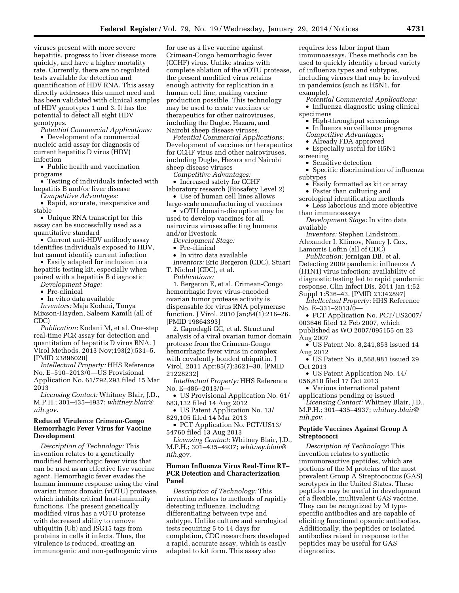viruses present with more severe hepatitis, progress to liver disease more quickly, and have a higher mortality rate. Currently, there are no regulated tests available for detection and quantification of HDV RNA. This assay directly addresses this unmet need and has been validated with clinical samples of HDV genotypes 1 and 3. It has the potential to detect all eight HDV genotypes.

*Potential Commercial Applications:* 

• Development of a commercial nucleic acid assay for diagnosis of current hepatitis D virus (HDV) infection

• Public health and vaccination programs

• Testing of individuals infected with hepatitis B and/or liver disease

*Competitive Advantages:* 

• Rapid, accurate, inexpensive and stable

• Unique RNA transcript for this assay can be successfully used as a quantitative standard

• Current anti-HDV antibody assay identifies individuals exposed to HDV, but cannot identify current infection

• Easily adapted for inclusion in a hepatitis testing kit, especially when paired with a hepatitis B diagnostic

*Development Stage:* 

• Pre-clinical

• In vitro data available

*Inventors:* Maja Kodani, Tonya Mixson-Hayden, Saleem Kamili (all of CDC)

*Publication:* Kodani M, et al. One-step real-time PCR assay for detection and quantitation of hepatitis D virus RNA. J Virol Methods. 2013 Nov;193(2):531–5. [PMID 23896020]

*Intellectual Property:* HHS Reference No. E–510–2013/0—US Provisional Application No. 61/792,293 filed 15 Mar 2013

*Licensing Contact:* Whitney Blair, J.D., M.P.H.; 301–435–4937; *[whitney.blair@](mailto:whitney.blair@nih.gov) [nih.gov.](mailto:whitney.blair@nih.gov)* 

### **Reduced Virulence Crimean-Congo Hemorrhagic Fever Virus for Vaccine Development**

*Description of Technology:* This invention relates to a genetically modified hemorrhagic fever virus that can be used as an effective live vaccine agent. Hemorrhagic fever evades the human immune response using the viral ovarian tumor domain (vOTU) protease, which inhibits critical host-immunity functions. The present genetically modified virus has a vOTU protease with decreased ability to remove ubiquitin (Ub) and ISG15 tags from proteins in cells it infects. Thus, the virulence is reduced, creating an immunogenic and non-pathogenic virus

for use as a live vaccine against Crimean-Congo hemorrhagic fever (CCHF) virus. Unlike strains with complete ablation of the vOTU protease, the present modified virus retains enough activity for replication in a human cell line, making vaccine production possible. This technology may be used to create vaccines or therapeutics for other nairoviruses, including the Dugbe, Hazara, and Nairobi sheep disease viruses.

*Potential Commercial Applications:*  Development of vaccines or therapeutics for CCHF virus and other nairoviruses, including Dugbe, Hazara and Nairobi sheep disease viruses

*Competitive Advantages:* 

• Increased safety for CCHF laboratory research (Biosafety Level 2)

• Use of human cell lines allows large-scale manufacturing of vaccines

• vOTU domain-disruption may be used to develop vaccines for all nairovirus viruses affecting humans and/or livestock

*Development Stage:* 

• Pre-clinical

• In vitro data available

*Inventors:* Eric Bergeron (CDC), Stuart T. Nichol (CDC), et al.

*Publications:* 

1. Bergeron E, et al. Crimean-Congo hemorrhagic fever virus-encoded ovarian tumor protease activity is dispensable for virus RNA polymerase function. J Virol. 2010 Jan;84(1):216–26. [PMID 19864393]

2. Capodagli GC, et al. Structural analysis of a viral ovarian tumor domain protease from the Crimean-Congo hemorrhagic fever virus in complex with covalently bonded ubiquitin. J Virol. 2011 Apr;85(7):3621–30. [PMID 21228232]

*Intellectual Property:* HHS Reference No. E–486–2013/0—

• US Provisional Application No. 61/ 683,132 filed 14 Aug 2012

• US Patent Application No. 13/ 829,105 filed 14 Mar 2013

• PCT Application No. PCT/US13/ 54760 filed 13 Aug 2013

*Licensing Contact:* Whitney Blair, J.D., M.P.H.; 301–435–4937; *[whitney.blair@](mailto:whitney.blair@nih.gov) [nih.gov.](mailto:whitney.blair@nih.gov)* 

#### **Human Influenza Virus Real-Time RT– PCR Detection and Characterization Panel**

*Description of Technology:* This invention relates to methods of rapidly detecting influenza, including differentiating between type and subtype. Unlike culture and serological tests requiring 5 to 14 days for completion, CDC researchers developed a rapid, accurate assay, which is easily adapted to kit form. This assay also

requires less labor input than immunoassays. These methods can be used to quickly identify a broad variety of influenza types and subtypes, including viruses that may be involved in pandemics (such as H5N1, for example).

*Potential Commercial Applications:*  • Influenza diagnostic using clinical specimens

• High-throughput screenings

• Influenza surveillance programs

*Competitive Advantages:* 

• Already FDA approved

• Especially useful for H5N1 screening

• Sensitive detection

• Specific discrimination of influenza subtypes

• Easily formatted as kit or array

• Faster than culturing and

serological identification methods • Less laborious and more objective

than immunoassays

*Development Stage:* In vitro data available

*Inventors:* Stephen Lindstrom, Alexander I. Klimov, Nancy J. Cox, Lamorris Loftin (all of CDC)

*Publication:* Jernigan DB, et al. Detecting 2009 pandemic influenza A (H1N1) virus infection: availability of diagnostic testing led to rapid pandemic response. Clin Infect Dis. 2011 Jan 1;52 Suppl 1:S36–43. [PMID 21342897]

*Intellectual Property:* HHS Reference No. E–331–2013/0—

• PCT Application No. PCT/US2007/ 003646 filed 12 Feb 2007, which published as WO 2007/095155 on 23 Aug 2007

• US Patent No. 8,241,853 issued 14 Aug 2012

• US Patent No. 8,568,981 issued 29 Oct 2013

• US Patent Application No. 14/ 056,810 filed 17 Oct 2013

• Various international patent applications pending or issued

*Licensing Contact:* Whitney Blair, J.D., M.P.H.; 301–435–4937; *[whitney.blair@](mailto:whitney.blair@nih.gov) [nih.gov.](mailto:whitney.blair@nih.gov)* 

### **Peptide Vaccines Against Group A Streptococci**

*Description of Technology:* This invention relates to synthetic immunoreactive peptides, which are portions of the M proteins of the most prevalent Group A Streptococcus (GAS) serotypes in the United States. These peptides may be useful in development of a flexible, multivalent GAS vaccine. They can be recognized by M typespecific antibodies and are capable of eliciting functional opsonic antibodies. Additionally, the peptides or isolated antibodies raised in response to the peptides may be useful for GAS diagnostics.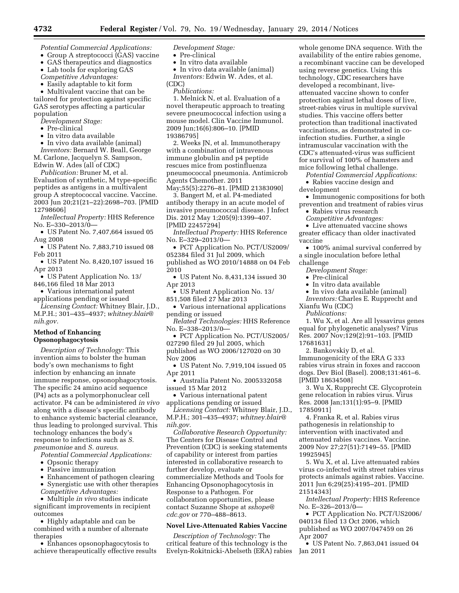- *Potential Commercial Applications:*
- Group A streptococci (GAS) vaccine
- GAS therapeutics and diagnostics
- Lab tools for exploring GAS
- *Competitive Advantages:*
- Easily adaptable to kit form

• Multivalent vaccine that can be tailored for protection against specific GAS serotypes affecting a particular population

- *Development Stage:*
- Pre-clinical
- In vitro data available
- In vivo data available (animal)

*Inventors:* Bernard W. Beall, George M. Carlone, Jacquelyn S. Sampson, Edwin W. Ades (all of CDC)

*Publication:* Bruner M, et al.

Evaluation of synthetic, M type-specific peptides as antigens in a multivalent group A streptococcal vaccine. Vaccine. 2003 Jun 20;21(21–22):2698–703. [PMID 12798606]

*Intellectual Property:* HHS Reference No. E–330–2013/0—

• US Patent No. 7,407,664 issued 05 Aug 2008

• US Patent No. 7,883,710 issued 08 Feb 2011

- US Patent No. 8,420,107 issued 16 Apr 2013
- US Patent Application No. 13/ 846,166 filed 18 Mar 2013
- Various international patent
- applications pending or issued *Licensing Contact:* Whitney Blair, J.D.,

M.P.H.; 301–435–4937; *[whitney.blair@](mailto:whitney.blair@nih.gov) [nih.gov.](mailto:whitney.blair@nih.gov)* 

## **Method of Enhancing Opsonophagocytosis**

*Description of Technology:* This invention aims to bolster the human body's own mechanisms to fight infection by enhancing an innate immune response, opsonophagocytosis. The specific 24 amino acid sequence (P4) acts as a polymorphonuclear cell activator. P4 can be administered *in vivo*  along with a disease's specific antibody to enhance systemic bacterial clearance, thus leading to prolonged survival. This technology enhances the body's response to infections such as *S. pneumoniae* and *S. aureus.* 

*Potential Commercial Applications:* 

- Opsonic therapy
- Passive immunization
- Enhancement of pathogen clearing • Synergistic use with other therapies
- *Competitive Advantages:*

• Multiple *in vivo* studies indicate significant improvements in recipient outcomes

• Highly adaptable and can be combined with a number of alternate therapies

• Enhances opsonophagocytosis to achieve therapeutically effective results *Development Stage:* 

- Pre-clinical
- In vitro data available
- In vivo data available (animal) *Inventors:* Edwin W. Ades, et al. (CDC)
- *Publications:*

1. Melnick N, et al. Evaluation of a novel therapeutic approach to treating severe pneumococcal infection using a mouse model. Clin Vaccine Immunol. 2009 Jun;16(6):806–10. [PMID 19386795]

2. Weeks JN, et al. Immunotherapy with a combination of intravenous immune globulin and p4 peptide rescues mice from postinfluenza pneumococcal pneumonia. Antimicrob Agents Chemother. 2011 May;55(5):2276–81. [PMID 21383090]

3. Bangert M, et al. P4-mediated antibody therapy in an acute model of invasive pneumococcal disease. J Infect Dis. 2012 May 1;205(9):1399–407. [PMID 22457294]

*Intellectual Property:* HHS Reference No. E–329–2013/0—

• PCT Application No. PCT/US2009/ 052384 filed 31 Jul 2009, which published as WO 2010/14888 on 04 Feb

2010

• US Patent No. 8,431,134 issued 30 Apr 2013

• US Patent Application No. 13/

851,508 filed 27 Mar 2013

• Various international applications pending or issued

*Related Technologies:* HHS Reference No. E–338–2013/0—

• PCT Application No. PCT/US2005/ 027290 filed 29 Jul 2005, which published as WO 2006/127020 on 30 Nov 2006

• US Patent No. 7,919,104 issued 05 Apr 2011

• Australia Patent No. 2005332058 issued 15 Mar 2012

• Various international patent applications pending or issued

*Licensing Contact:* Whitney Blair, J.D., M.P.H.; 301–435–4937; *[whitney.blair@](mailto:whitney.blair@nih.gov) [nih.gov.](mailto:whitney.blair@nih.gov)* 

*Collaborative Research Opportunity:*  The Centers for Disease Control and Prevention (CDC) is seeking statements of capability or interest from parties interested in collaborative research to further develop, evaluate or commercialize Methods and Tools for Enhancing Opsonophagocytosis in Response to a Pathogen. For collaboration opportunities, please contact Suzanne Shope at *[sshope@](mailto:sshope@cdc.gov) [cdc.gov](mailto:sshope@cdc.gov)* or 770–488–8613.

### **Novel Live-Attenuated Rabies Vaccine**

*Description of Technology:* The critical feature of this technology is the Evelyn-Rokitnicki-Abelseth (ERA) rabies

whole genome DNA sequence. With the availability of the entire rabies genome, a recombinant vaccine can be developed using reverse genetics. Using this technology, CDC researchers have developed a recombinant, liveattenuated vaccine shown to confer protection against lethal doses of live, street-rabies virus in multiple survival studies. This vaccine offers better protection than traditional inactivated vaccinations, as demonstrated in coinfection studies. Further, a single intramuscular vaccination with the CDC's attenuated-virus was sufficient for survival of 100% of hamsters and mice following lethal challenge.

*Potential Commercial Applications:*  • Rabies vaccine design and

development • Immunogenic compositions for both

prevention and treatment of rabies virus • Rabies virus research

*Competitive Advantages:* 

• Live attenuated vaccine shows

greater efficacy than older inactivated vaccine

• 100% animal survival conferred by a single inoculation before lethal challenge

*Development Stage:* 

- Pre-clinical
- In vitro data available
- In vivo data available (animal)

*Inventors:* Charles E. Rupprecht and Xianfu Wu (CDC)

*Publications:* 

1. Wu X, et al. Are all lyssavirus genes equal for phylogenetic analyses? Virus Res. 2007 Nov;129(2):91–103. [PMID 17681631]

2. Bankovskiy D, et al. Immunogenicity of the ERA G 333 rabies virus strain in foxes and raccoon dogs. Dev Biol (Basel). 2008;131:461–6. [PMID 18634508]

3. Wu X, Rupprecht CE. Glycoprotein gene relocation in rabies virus. Virus Res. 2008 Jan;131(1):95–9. [PMID 17850911]

4. Franka R, et al. Rabies virus pathogenesis in relationship to intervention with inactivated and attenuated rabies vaccines. Vaccine. 2009 Nov 27;27(51):7149–55. [PMID 19925945]

5. Wu X, et al. Live attenuated rabies virus co-infected with street rabies virus protects animals against rabies. Vaccine. 2011 Jun 6;29(25):4195–201. [PMID 21514343]

*Intellectual Property:* HHS Reference No. E–326–2013/0—

• PCT Application No. PCT/US2006/ 040134 filed 13 Oct 2006, which published as WO 2007/047459 on 26 Apr 2007

• US Patent No. 7,863,041 issued 04 Jan 2011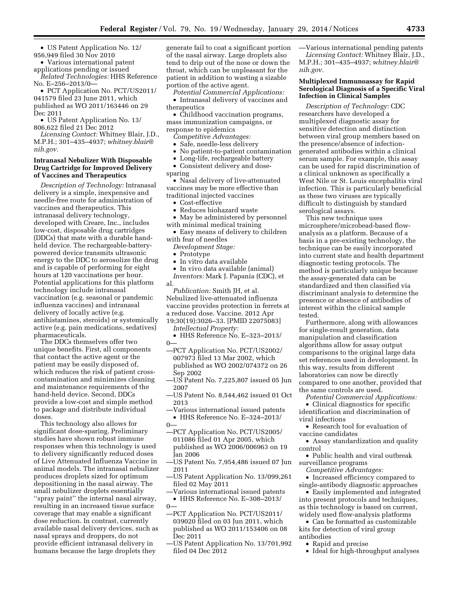• US Patent Application No. 12/ 956,949 filed 30 Nov 2010

• Various international patent applications pending or issued

*Related Technologies:* HHS Reference No. E–256–2013/0—

• PCT Application No. PCT/US2011/ 041579 filed 23 June 2011, which published as WO 2011/163446 on 29 Dec 2011

• US Patent Application No. 13/ 806,622 filed 21 Dec 2012

*Licensing Contact:* Whitney Blair, J.D., M.P.H.; 301–435–4937; *[whitney.blair@](mailto:whitney.blair@nih.gov) [nih.gov.](mailto:whitney.blair@nih.gov)* 

### **Intranasal Nebulizer With Disposable Drug Cartridge for Improved Delivery of Vaccines and Therapeutics**

*Description of Technology:* Intranasal delivery is a simple, inexpensive and needle-free route for administration of vaccines and therapeutics. This intranasal delivery technology, developed with Creare, Inc., includes low-cost, disposable drug cartridges (DDCs) that mate with a durable handheld device. The rechargeable-batterypowered device transmits ultrasonic energy to the DDC to aerosolize the drug and is capable of performing for eight hours at 120 vaccinations per hour. Potential applications for this platform technology include intranasal vaccination (e.g. seasonal or pandemic influenza vaccines) and intranasal delivery of locally active (e.g. antihistamines, steroids) or systemically active (e.g. pain medications, sedatives) pharmaceuticals.

The DDCs themselves offer two unique benefits. First, all components that contact the active agent or the patient may be easily disposed of, which reduces the risk of patient crosscontamination and minimizes cleaning and maintenance requirements of the hand-held device. Second, DDCs provide a low-cost and simple method to package and distribute individual doses.

This technology also allows for significant dose-sparing. Preliminary studies have shown robust immune responses when this technology is used to delivery significantly reduced doses of Live Attenuated Influenza Vaccine in animal models. The intranasal nebulizer produces droplets sized for optimum depositioning in the nasal airway. The small nebulizer droplets essentially ''spray paint'' the internal nasal airway, resulting in an increased tissue surface coverage that may enable a significant dose reduction. In contrast, currently available nasal delivery devices, such as nasal sprays and droppers, do not provide efficient intranasal delivery in humans because the large droplets they

generate fail to coat a significant portion of the nasal airway. Large droplets also tend to drip out of the nose or down the throat, which can be unpleasant for the patient in addition to wasting a sizable portion of the active agent.

*Potential Commercial Applications:*  • Intranasal delivery of vaccines and

therapeutics

• Childhood vaccination programs, mass immunization campaigns, or response to epidemics

*Competitive Advantages:* 

• Safe, needle-less delivery

- No patient-to-patient contamination
- Long-life, rechargeable battery

• Consistent delivery and dose-

sparing

• Nasal delivery of live-attenuated vaccines may be more effective than traditional injected vaccines

- Cost-effective
- Reduces biohazard waste

• May be administered by personnel with minimal medical training

• Easy means of delivery to children with fear of needles

*Development Stage:* 

• Prototype

- In vitro data available
- In vivo data available (animal)

*Inventors:* Mark J. Papania (CDC), et al.

*Publication:* Smith JH, et al. Nebulized live-attenuated influenza vaccine provides protection in ferrets at a reduced dose. Vaccine. 2012 Apr

19;30(19):3026–33. [PMID 22075083] *Intellectual Property:* 

- HHS Reference No. E–323–2013/  $0-$
- —PCT Application No. PCT/US2002/ 007973 filed 13 Mar 2002, which published as WO 2002/074372 on 26 Sep 2002
- —US Patent No. 7,225,807 issued 05 Jun 2007
- —US Patent No. 8,544,462 issued 01 Oct 2013
- —Various international issued patents • HHS Reference No. E–324–2013/  $0-$
- —PCT Application No. PCT/US2005/ 011086 filed 01 Apr 2005, which published as WO 2006/006963 on 19 Jan 2006
- —US Patent No. 7,954,486 issued 07 Jun 2011
- —US Patent Application No. 13/099,261 filed 02 May 2011
- —Various international issued patents

• HHS Reference No. E–308–2013/  $0-$ 

- —PCT Application No. PCT/US2011/ 039020 filed on 03 Jun 2011, which published as WO 2011/153406 on 08 Dec 2011
- —US Patent Application No. 13/701,992 filed 04 Dec 2012

—Various international pending patents *Licensing Contact:* Whitney Blair, J.D., M.P.H.; 301–435–4937; *[whitney.blair@](mailto:whitney.blair@nih.gov) [nih.gov.](mailto:whitney.blair@nih.gov)* 

### **Multiplexed Immunoassay for Rapid Serological Diagnosis of a Specific Viral Infection in Clinical Samples**

*Description of Technology:* CDC researchers have developed a multiplexed diagnostic assay for sensitive detection and distinction between viral group members based on the presence/absence of infectiongenerated antibodies within a clinical serum sample. For example, this assay can be used for rapid discrimination of a clinical unknown as specifically a West Nile or St. Louis encephalitis viral infection. This is particularly beneficial as these two viruses are typically difficult to distinguish by standard serological assays.

This new technique uses microsphere/microbead-based flowanalysis as a platform. Because of a basis in a pre-existing technology, the technique can be easily incorporated into current state and health department diagnostic testing protocols. The method is particularly unique because the assay-generated data can be standardized and then classified via discriminant analysis to determine the presence or absence of antibodies of interest within the clinical sample tested.

Furthermore, along with allowances for single-result generation, data manipulation and classification algorithms allow for assay output comparisons to the original large data set references used in development. In this way, results from different laboratories can now be directly compared to one another, provided that the same controls are used.

*Potential Commercial Applications:*  • Clinical diagnostics for specific identification and discrimination of viral infections

• Research tool for evaluation of vaccine candidates

• Assay standardization and quality control

• Public health and viral outbreak surveillance programs

*Competitive Advantages:* 

• Increased efficiency compared to single-antibody diagnostic approaches

• Easily implemented and integrated into present protocols and techniques, as this technology is based on current, widely used flow-analysis platforms

• Can be formatted as customizable kits for detection of viral group antibodies

• Rapid and precise

• Ideal for high-throughput analyses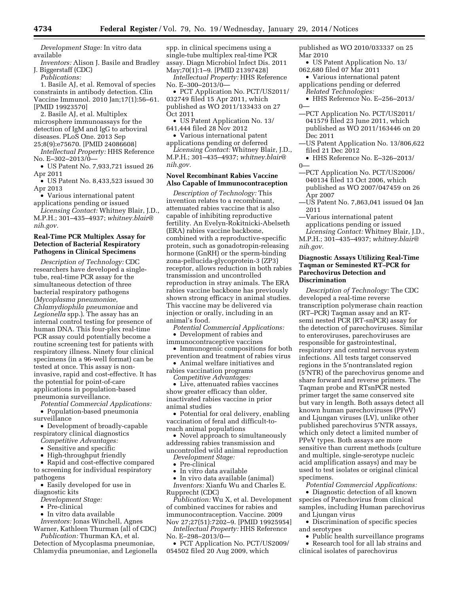*Development Stage:* In vitro data available

*Inventors:* Alison J. Basile and Bradley J. Biggerstaff (CDC)

*Publications:* 

1. Basile AJ, et al. Removal of species constraints in antibody detection. Clin Vaccine Immunol. 2010 Jan;17(1):56–61. [PMID 19923570]

2. Basile AJ, et al. Multiplex microsphere immunoassays for the detection of IgM and IgG to arboviral diseases. PLoS One. 2013 Sep 25;8(9):e75670. [PMID 24086608]

*Intellectual Property:* HHS Reference No. E–302–2013/0—

• US Patent No. 7,933,721 issued 26 Apr 2011

• US Patent No. 8,433,523 issued 30 Apr 2013

• Various international patent applications pending or issued

*Licensing Contact:* Whitney Blair, J.D., M.P.H.; 301–435–4937; *[whitney.blair@](mailto:whitney.blair@nih.gov) [nih.gov.](mailto:whitney.blair@nih.gov)* 

#### **Real-Time PCR Multiplex Assay for Detection of Bacterial Respiratory Pathogens in Clinical Specimens**

*Description of Technology:* CDC researchers have developed a singletube, real-time PCR assay for the simultaneous detection of three bacterial respiratory pathogens (*Mycoplasma pneumoniae, Chlamydiophila pneumoniae* and *Legionella* spp.). The assay has an internal control testing for presence of human DNA. This four-plex real-time PCR assay could potentially become a routine screening test for patients with respiratory illness. Ninety four clinical specimens (in a 96-well format) can be tested at once. This assay is noninvasive, rapid and cost-effective. It has the potential for point-of-care applications in population-based pneumonia surveillance.

*Potential Commercial Applications:* 

• Population-based pneumonia surveillance

• Development of broadly-capable respiratory clinical diagnostics

- *Competitive Advantages:*
- Sensitive and specific
- High-throughput friendly

• Rapid and cost-effective compared to screening for individual respiratory pathogens

• Easily developed for use in diagnostic kits

*Development Stage:* 

- Pre-clinical
- In vitro data available

*Inventors:* Jonas Winchell, Agnes Warner, Kathleen Thurman (all of CDC)

*Publication:* Thurman KA, et al. Detection of Mycoplasma pneumoniae, Chlamydia pneumoniae, and Legionella spp. in clinical specimens using a single-tube multiplex real-time PCR assay. Diagn Microbiol Infect Dis. 2011

May;70(1):1–9. [PMID 21397428] *Intellectual Property:* HHS Reference No. E–300–2013/0—

• PCT Application No. PCT/US2011/ 032749 filed 15 Apr 2011, which published as WO 2011/133433 on 27 Oct 2011

• US Patent Application No. 13/ 641,444 filed 28 Nov 2012

• Various international patent applications pending or deferred

*Licensing Contact:* Whitney Blair, J.D., M.P.H.; 301–435–4937; *[whitney.blair@](mailto:whitney.blair@nih.gov) [nih.gov.](mailto:whitney.blair@nih.gov)* 

### **Novel Recombinant Rabies Vaccine Also Capable of Immunocontraception**

*Description of Technology:* This invention relates to a recombinant, attenuated rabies vaccine that is also capable of inhibiting reproductive fertility. An Evelyn-Rokitnicki-Abelseth (ERA) rabies vaccine backbone, combined with a reproductive-specific protein, such as gonadotropin-releasing hormone (GnRH) or the sperm-binding zona-pellucida-glycoprotein-3 (ZP3) receptor, allows reduction in both rabies transmission and uncontrolled reproduction in stray animals. The ERA rabies vaccine backbone has previously shown strong efficacy in animal studies. This vaccine may be delivered via injection or orally, including in an animal's food.

*Potential Commercial Applications:*  • Development of rabies and

immunocontraceptive vaccines

• Immunogenic compositions for both prevention and treatment of rabies virus

• Animal welfare initiatives and rabies vaccination programs

*Competitive Advantages:* 

• Live, attenuated rabies vaccines show greater efficacy than older, inactivated rabies vaccine in prior animal studies

• Potential for oral delivery, enabling vaccination of feral and difficult-toreach animal populations

• Novel approach to simultaneously addressing rabies transmission and uncontrolled wild animal reproduction

- *Development Stage:*  • Pre-clinical
- In vitro data available
- 

• In vivo data available (animal) *Inventors:* Xianfu Wu and Charles E. Rupprecht (CDC)

*Publication:* Wu X, et al. Development of combined vaccines for rabies and immunocontraception. Vaccine. 2009 Nov 27;27(51):7202–9. [PMID 19925954]

*Intellectual Property:* HHS Reference No. E–298–2013/0—

• PCT Application No. PCT/US2009/ 054502 filed 20 Aug 2009, which

published as WO 2010/033337 on 25 Mar 2010

- US Patent Application No. 13/ 062,680 filed 07 Mar 2011
- Various international patent applications pending or deferred *Related Technologies:*
- HHS Reference No. E–256–2013/  $0-$
- —PCT Application No. PCT/US2011/ 041579 filed 23 June 2011, which published as WO 2011/163446 on 20 Dec 2011
- —US Patent Application No. 13/806,622 filed 21 Dec 2012
- HHS Reference No. E–326–2013/  $0-$
- —PCT Application No. PCT/US2006/ 040134 filed 13 Oct 2006, which published as WO 2007/047459 on 26 Apr 2007
- —US Patent No. 7,863,041 issued 04 Jan 2011
- —Various international patent applications pending or issued *Licensing Contact:* Whitney Blair, J.D., M.P.H.; 301–435–4937; *[whitney.blair@](mailto:whitney.blair@nih.gov)*

### **Diagnostic Assays Utilizing Real-Time Taqman or Seminested RT–PCR for Parechovirus Detection and Discrimination**

*[nih.gov.](mailto:whitney.blair@nih.gov)* 

*Description of Technology:* The CDC developed a real-time reverse transcription polymerase chain reaction (RT–PCR) Taqman assay and an RTsemi nested PCR (RT-snPCR) assay for the detection of parechoviruses. Similar to enteroviruses, parechoviruses are responsible for gastrointestinal, respiratory and central nervous system infections. All tests target conserved regions in the 5′nontranslated region (5′NTR) of the parechovirus genome and share forward and reverse primers. The Taqman probe and RTsnPCR nested primer target the same conserved site but vary in length. Both assays detect all known human parechoviruses (PPeV) and Ljungan viruses (LV), unlike other published parechovirus 5′NTR assays, which only detect a limited number of PPeV types. Both assays are more sensitive than current methods (culture and multiple, single-serotype nucleic acid amplification assays) and may be used to test isolates or original clinical specimens.

*Potential Commercial Applications:*  • Diagnostic detection of all known species of Parechovirus from clinical samples, including Human parechovirus and Ljungan virus

• Discrimination of specific species and serotypes

- Public health surveillance programs
- Research tool for all lab strains and clinical isolates of parechovirus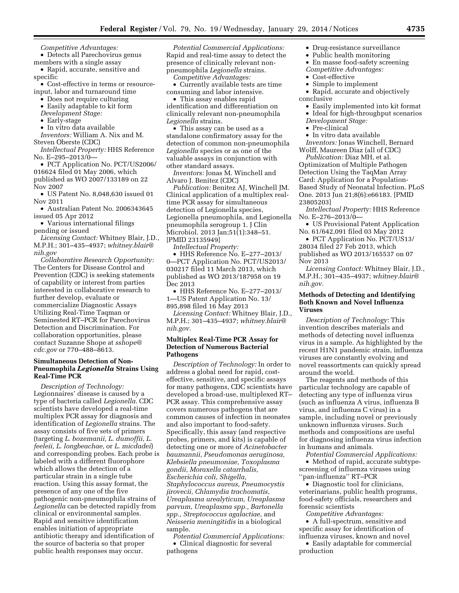*Competitive Advantages:* 

• Detects all Parechovirus genus members with a single assay

• Rapid, accurate, sensitive and specific

• Cost-effective in terms or resourceinput, labor and turnaround time

- Does not require culturing
- Easily adaptable to kit form

*Development Stage:* 

• Early-stage

• In vitro data available

*Inventors:* William A. Nix and M. Steven Oberste (CDC)

*Intellectual Property:* HHS Reference No. E–295–2013/0—

• PCT Application No. PCT/US2006/ 016624 filed 01 May 2006, which published as WO 2007/133189 on 22 Nov 2007

• US Patent No. 8,048,630 issued 01 Nov 2011

• Australian Patent No. 2006343645 issued 05 Apr 2012

• Various international filings pending or issued

*Licensing Contact:* Whitney Blair, J.D., M.P.H.; 301–435–4937; *[whitney.blair@](mailto:whitney.blair@nih.gov) [nih.gov](mailto:whitney.blair@nih.gov)* 

*Collaborative Research Opportunity:*  The Centers for Disease Control and Prevention (CDC) is seeking statements of capability or interest from parties interested in collaborative research to further develop, evaluate or commercialize Diagnostic Assays Utilizing Real-Time Taqman or Seminested RT–PCR for Parechovirus Detection and Discrimination. For collaboration opportunities, please contact Suzanne Shope at *[sshope@](mailto:sshope@cdc.gov) [cdc.gov](mailto:sshope@cdc.gov)* or 770–488–8613.

### **Simultaneous Detection of Non-Pneumophila** *Legionella* **Strains Using Real-Time PCR**

*Description of Technology:*  Legionnaires' disease is caused by a type of bacteria called *Legionella.* CDC scientists have developed a real-time multiplex PCR assay for diagnosis and identification of *Legionella* strains. The assay consists of five sets of primers (targeting *L. bozemanii, L. dumoffii, L. feeleii, L. longbeachae,* or *L. micdadei*) and corresponding probes. Each probe is labeled with a different fluorophore which allows the detection of a particular strain in a single tube reaction. Using this assay format, the presence of any one of the five pathogenic non-pneumophila strains of *Legionella* can be detected rapidly from clinical or environmental samples. Rapid and sensitive identification enables initiation of appropriate antibiotic therapy and identification of the source of bacteria so that proper public health responses may occur.

*Potential Commercial Applications:*  Rapid and real-time assay to detect the presence of clinically relevant nonpneumophila *Legionella* strains. *Competitive Advantages:* 

• Currently available tests are time consuming and labor intensive.

• This assay enables rapid identification and differentiation on clinically relevant non-pneumophila *Legionella* strains.

• This assay can be used as a standalone confirmatory assay for the detection of common non-pneumophila *Legionella* species or as one of the valuable assays in conjunction with other standard assays.

*Inventors:* Jonas M. Winchell and Alvaro J. Benitez (CDC)

*Publication:* Benitez AJ, Winchell JM. Clinical application of a multiplex realtime PCR assay for simultaneous detection of Legionella species, Legionella pneumophila, and Legionella pneumophila serogroup 1. J Clin Microbiol. 2013 Jan;51(1):348–51. [PMID 23135949]

*Intellectual Property:* 

• HHS Reference No. E–277–2013/ 0—PCT Application No. PCT/US2013/ 030217 filed 11 March 2013, which published as WO 2013/187958 on 19 Dec 2013

• HHS Reference No. E–277–2013/ 1—US Patent Application No. 13/ 895,898 filed 16 May 2013

*Licensing Contact:* Whitney Blair, J.D., M.P.H.; 301–435–4937; *[whitney.blair@](mailto:whitney.blair@nih.gov) [nih.gov.](mailto:whitney.blair@nih.gov)* 

### **Multiplex Real-Time PCR Assay for Detection of Numerous Bacterial Pathogens**

*Description of Technology:* In order to address a global need for rapid, costeffective, sensitive, and specific assays for many pathogens, CDC scientists have developed a broad-use, multiplexed RT– PCR assay. This comprehensive assay covers numerous pathogens that are common causes of infection in neonates and also important to food-safety. Specifically, this assay (and respective probes, primers, and kits) is capable of detecting one or more of *Acinetobacter baumannii, Pseudomonas aeruginosa, Klebsiella pneumoniae, Toxoplasma gondii, Moraxella catarrhalis, Escherichia coli, Shigella, Staphylococcus aureus, Pneumocystis jirovecii, Chlamydia trachomatis, Ureaplasma urealyticum, Ureaplasma parvum, Ureaplasma spp., Bartonella spp., Streptococcus agalactiae,* and *Neisseria meningitidis* in a biological sample.

*Potential Commercial Applications:*  • Clinical diagnostic for several pathogens

- Drug-resistance surveillance
- Public health monitoring
- En masse food-safety screening
- *Competitive Advantages:*
- Cost-effective
- Simple to implement

• Rapid, accurate and objectively conclusive

- Easily implemented into kit format
- Ideal for high-throughput scenarios
- *Development Stage:*
- Pre-clinical
- In vitro data available

*Inventors:* Jonas Winchell, Bernard Wolff, Maureen Diaz (all of CDC)

*Publication:* Diaz MH, et al. Optimization of Multiple Pathogen Detection Using the TaqMan Array Card: Application for a Population-Based Study of Neonatal Infection. PLoS One. 2013 Jun 21;8(6):e66183. [PMID 23805203]

*Intellectual Property:* HHS Reference No. E–276–2013/0—

• US Provisional Patent Application No. 61/642,091 filed 03 May 2012

• PCT Application No. PCT/US13/ 28034 filed 27 Feb 2013, which published as WO 2013/165537 on 07 Nov 2013

*Licensing Contact:* Whitney Blair, J.D., M.P.H.; 301–435–4937; *[whitney.blair@](mailto:whitney.blair@nih.gov) [nih.gov.](mailto:whitney.blair@nih.gov)* 

### **Methods of Detecting and Identifying Both Known and Novel Influenza Viruses**

*Description of Technology:* This invention describes materials and methods of detecting novel influenza virus in a sample. As highlighted by the recent H1N1 pandemic strain, influenza viruses are constantly evolving and novel reassortments can quickly spread around the world.

The reagents and methods of this particular technology are capable of detecting any type of influenza virus (such as influenza A virus, influenza B virus, and influenza C virus) in a sample, including novel or previously unknown influenza viruses. Such methods and compositions are useful for diagnosing influenza virus infection in humans and animals.

*Potential Commercial Applications:*  • Method of rapid, accurate subtypescreening of influenza viruses using ''pan-influenza'' RT–PCR

• Diagnostic tool for clinicians, veterinarians, public health programs, food-safety officials, researchers and forensic scientists

*Competitive Advantages:* 

• A full-spectrum, sensitive and specific assay for identification of influenza viruses, known and novel

• Easily adaptable for commercial production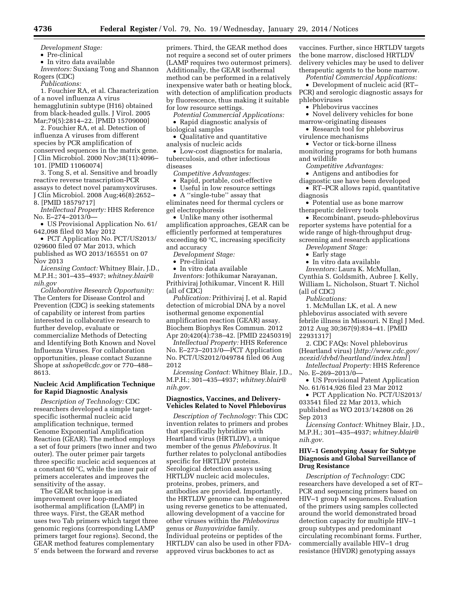*Development Stage:* 

• Pre-clinical

• In vitro data available

*Inventors:* Suxiang Tong and Shannon Rogers (CDC)

*Publications:* 

1. Fouchier RA, et al. Characterization of a novel influenza A virus hemagglutinin subtype (H16) obtained from black-headed gulls. J Virol. 2005 Mar;79(5):2814–22. [PMID 15709000]

2. Fouchier RA, et al. Detection of influenza A viruses from different species by PCR amplification of conserved sequences in the matrix gene. J Clin Microbiol. 2000 Nov;38(11):4096– 101. [PMID 11060074]

3. Tong S, et al. Sensitive and broadly reactive reverse transcription-PCR assays to detect novel paramyxoviruses. J Clin Microbiol. 2008 Aug;46(8):2652– 8. [PMID 18579717]

*Intellectual Property:* HHS Reference No. E–274–2013/0—

• US Provisional Application No. 61/ 642,098 filed 03 May 2012

• PCT Application No. PCT/US2013/ 029600 filed 07 Mar 2013, which published as WO 2013/165551 on 07 Nov 2013

*Licensing Contact:* Whitney Blair, J.D., M.P.H.; 301–435–4937; *[whitney.blair@](mailto:whitney.blair@nih.gov) [nih.gov](mailto:whitney.blair@nih.gov)* 

*Collaborative Research Opportunity:*  The Centers for Disease Control and Prevention (CDC) is seeking statements of capability or interest from parties interested in collaborative research to further develop, evaluate or commercialize Methods of Detecting and Identifying Both Known and Novel Influenza Viruses. For collaboration opportunities, please contact Suzanne Shope at *[sshope@cdc.gov](mailto:sshope@cdc.gov)* or 770–488– 8613.

### **Nucleic Acid Amplification Technique for Rapid Diagnostic Analysis**

*Description of Technology:* CDC researchers developed a simple targetspecific isothermal nucleic acid amplification technique, termed Genome Exponential Amplification Reaction (GEAR). The method employs a set of four primers (two inner and two outer). The outer primer pair targets three specific nucleic acid sequences at a constant 60 °C, while the inner pair of primers accelerates and improves the sensitivity of the assay.

The GEAR technique is an improvement over loop-mediated isothermal amplification (LAMP) in three ways. First, the GEAR method uses two Tab primers which target three genomic regions (corresponding LAMP primers target four regions). Second, the GEAR method features complementary 5′ ends between the forward and reverse

primers. Third, the GEAR method does not require a second set of outer primers (LAMP requires two outermost primers). Additionally, the GEAR isothermal method can be performed in a relatively inexpensive water bath or heating block, with detection of amplification products by fluorescence, thus making it suitable for low resource settings.

*Potential Commercial Applications:*  • Rapid diagnostic analysis of biological samples

• Qualitative and quantitative

analysis of nucleic acids

• Low-cost diagnostics for malaria, tuberculosis, and other infectious diseases

*Competitive Advantages:* 

• Rapid, portable, cost-effective

• Useful in low resource settings

• A "single-tube" assay that

eliminates need for thermal cyclers or gel electrophoresis

• Unlike many other isothermal amplification approaches, GEAR can be efficiently performed at temperatures exceeding 60 °C, increasing specificity and accuracy

*Development Stage:* 

• Pre-clinical

• In vitro data available

*Inventors:* Jothikumar Narayanan, Prithiviraj Jothikumar, Vincent R. Hill (all of CDC)

*Publication:* Prithiviraj J, et al. Rapid detection of microbial DNA by a novel isothermal genome exponential amplification reaction (GEAR) assay. Biochem Biophys Res Commun. 2012 Apr 20;420(4):738–42. [PMID 22450319]

*Intellectual Property:* HHS Reference No. E–273–2013/0—PCT Application No. PCT/US2012/049784 filed 06 Aug 2012

*Licensing Contact:* Whitney Blair, J.D., M.P.H.; 301–435–4937; *[whitney.blair@](mailto:whitney.blair@nih.gov) [nih.gov.](mailto:whitney.blair@nih.gov)* 

#### **Diagnostics, Vaccines, and Delivery-Vehicles Related to Novel Phlebovirus**

*Description of Technology:* This CDC invention relates to primers and probes that specifically hybridize with Heartland virus (HRTLDV), a unique member of the genus *Phlebovirus.* It further relates to polyclonal antibodies specific for HRTLDV proteins. Serological detection assays using HRTLDV nucleic acid molecules, proteins, probes, primers, and antibodies are provided. Importantly, the HRTLDV genome can be engineered using reverse genetics to be attenuated, allowing development of a vaccine for other viruses within the *Phlebovirus*  genus or *Bunyaviridae* family. Individual proteins or peptides of the HRTLDV can also be used in other FDAapproved virus backbones to act as

vaccines. Further, since HRTLDV targets the bone marrow, disclosed HRTLDV delivery vehicles may be used to deliver therapeutic agents to the bone marrow.

*Potential Commercial Applications:* 

• Development of nucleic acid (RT– PCR) and serologic diagnostic assays for phleboviruses

• Phlebovirus vaccines

• Novel delivery vehicles for bone marrow-originating diseases

• Research tool for phlebovirus virulence mechanisms

• Vector or tick-borne illness

monitoring programs for both humans and wildlife

*Competitive Advantages:* 

• Antigens and antibodies for diagnostic use have been developed

• RT–PCR allows rapid, quantitative diagnosis

• Potential use as bone marrow therapeutic delivery tools

• Recombinant, pseudo-phlebovirus reporter systems have potential for a wide range of high-throughput drugscreening and research applications

*Development Stage:* 

• Early stage

• In vitro data available

*Inventors:* Laura K. McMullan, Cynthia S. Goldsmith, Aubree J. Kelly, William L. Nicholson, Stuart T. Nichol (all of CDC)

*Publications:* 

1. McMullan LK, et al. A new phlebovirus associated with severe febrile illness in Missouri. N Engl J Med. 2012 Aug 30;367(9):834–41. [PMID 22931317]

2. CDC FAQs: Novel phlebovirus (Heartland virus) [*[http://www.cdc.gov/](http://www.cdc.gov/ncezid/dvbd/heartland/index.html)*

*[ncezid/dvbd/heartland/index.html](http://www.cdc.gov/ncezid/dvbd/heartland/index.html)* ] *Intellectual Property:* HHS Reference

No. E–269–2013/0—

• US Provisional Patent Application No. 61/614,926 filed 23 Mar 2012

• PCT Application No. PCT/US2013/ 033541 filed 22 Mar 2013, which published as WO 2013/142808 on 26 Sep 2013

*Licensing Contact:* Whitney Blair, J.D., M.P.H.; 301–435–4937; *[whitney.blair@](mailto:whitney.blair@nih.gov) [nih.gov.](mailto:whitney.blair@nih.gov)* 

### **HIV–1 Genotyping Assay for Subtype Diagnosis and Global Surveillance of Drug Resistance**

*Description of Technology:* CDC researchers have developed a set of RT– PCR and sequencing primers based on HIV–1 group M sequences. Evaluation of the primers using samples collected around the world demonstrated broad detection capacity for multiple HIV–1 group subtypes and predominant circulating recombinant forms. Further, commercially available HIV–1 drug resistance (HIVDR) genotyping assays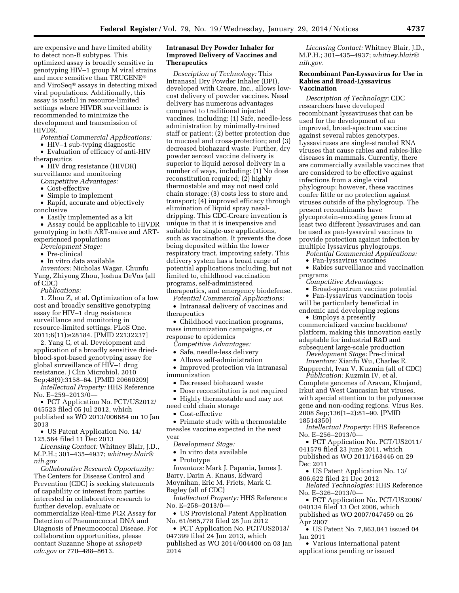are expensive and have limited ability to detect non-B subtypes. This optimized assay is broadly sensitive in genotyping HIV–1 group M viral strains and more sensitive than TRUGENE® and ViroSeq® assays in detecting mixed viral populations. Additionally, this assay is useful in resource-limited settings where HIVDR surveillance is recommended to minimize the development and transmission of HIVDR.

*Potential Commercial Applications:* 

• HIV–1 sub-typing diagnostic • Evaluation of efficacy of anti-HIV

therapeutics

• HIV drug resistance (HIVDR) surveillance and monitoring

*Competitive Advantages:* 

• Cost-effective

• Simple to implement

• Rapid, accurate and objectively conclusive

• Easily implemented as a kit

• Assay could be applicable to HIVDR genotyping in both ART-naive and ARTexperienced populations

*Development Stage:* 

• Pre-clinical

• In vitro data available

*Inventors:* Nicholas Wagar, Chunfu Yang, Zhiyong Zhou, Joshua DeVos (all of CDC)

*Publications:* 

1. Zhou Z, et al. Optimization of a low cost and broadly sensitive genotyping assay for HIV–1 drug resistance surveillance and monitoring in resource-limited settings. PLoS One. 2011;6(11):e28184. [PMID 22132237]

2. Yang C, et al. Development and application of a broadly sensitive driedblood-spot-based genotyping assay for global surveillance of HIV–1 drug resistance. J Clin Microbiol. 2010 Sep;48(9):3158–64. [PMID 20660209]

*Intellectual Property:* HHS Reference No. E–259–2013/0—

• PCT Application No. PCT/US2012/ 045523 filed 05 Jul 2012, which published as WO 2013/006684 on 10 Jan 2013

• US Patent Application No. 14/ 125,564 filed 11 Dec 2013

*Licensing Contact:* Whitney Blair, J.D., M.P.H.; 301–435–4937; *[whitney.blair@](mailto:whitney.blair@nih.gov) [nih.gov](mailto:whitney.blair@nih.gov)* 

*Collaborative Research Opportunity:*  The Centers for Disease Control and Prevention (CDC) is seeking statements of capability or interest from parties interested in collaborative research to further develop, evaluate or commercialize Real-time PCR Assay for Detection of Pneumococcal DNA and Diagnosis of Pneumococcal Disease. For collaboration opportunities, please contact Suzanne Shope at *[sshope@](mailto:sshope@cdc.gov) [cdc.gov](mailto:sshope@cdc.gov)* or 770–488–8613.

### **Intranasal Dry Powder Inhaler for Improved Delivery of Vaccines and Therapeutics**

*Description of Technology:* This Intranasal Dry Powder Inhaler (DPI), developed with Creare, Inc., allows lowcost delivery of powder vaccines. Nasal delivery has numerous advantages compared to traditional injected vaccines, including: (1) Safe, needle-less administration by minimally-trained staff or patient; (2) better protection due to mucosal and cross-protection; and (3) decreased biohazard waste. Further, dry powder aerosol vaccine delivery is superior to liquid aerosol delivery in a number of ways, including: (1) No dose reconstitution required; (2) highly thermostable and may not need cold chain storage; (3) costs less to store and transport; (4) improved efficacy through elimination of liquid spray nasaldripping. This CDC-Creare invention is unique in that it is inexpensive and suitable for single-use applications, such as vaccination. It prevents the dose being deposited within the lower respiratory tract, improving safety. This delivery system has a broad range of potential applications including, but not limited to, childhood vaccination programs, self-administered therapeutics, and emergency biodefense.

*Potential Commercial Applications:*  • Intranasal delivery of vaccines and therapeutics

• Childhood vaccination programs, mass immunization campaigns, or response to epidemics

*Competitive Advantages:* 

• Safe, needle-less delivery

• Allows self-administration

• Improved protection via intranasal immunization

• Decreased biohazard waste

• Dose reconstitution is not required

• Highly thermostable and may not

need cold chain storage

• Cost-effective

• Primate study with a thermostable measles vaccine expected in the next year

*Development Stage:* 

• In vitro data available

• Prototype

*Inventors:* Mark J. Papania, James J. Barry, Darin A. Knaus, Edward Moynihan, Eric M. Friets, Mark C. Bagley (all of CDC)

*Intellectual Property:* HHS Reference No. E–258–2013/0—

• US Provisional Patent Application No. 61/665,778 filed 28 Jun 2012

• PCT Application No. PCT/US2013/ 047399 filed 24 Jun 2013, which published as WO 2014/004400 on 03 Jan 2014

*Licensing Contact:* Whitney Blair, J.D., M.P.H.; 301–435–4937; *[whitney.blair@](mailto:whitney.blair@nih.gov) [nih.gov.](mailto:whitney.blair@nih.gov)* 

#### **Recombinant Pan-Lyssavirus for Use in Rabies and Broad-Lyssavirus Vaccination**

*Description of Technology:* CDC researchers have developed recombinant lyssaviruses that can be used for the development of an improved, broad-spectrum vaccine against several rabies genotypes. Lyssaviruses are single-stranded RNA viruses that cause rabies and rabies-like diseases in mammals. Currently, there are commercially available vaccines that are considered to be effective against infections from a single viral phylogroup; however, these vaccines confer little or no protection against viruses outside of the phylogroup. The present recombinants have glycoprotein-encoding genes from at least two different lyssaviruses and can be used as pan-lyssaviral vaccines to provide protection against infection by multiple lyssavirus phylogroups.

*Potential Commercial Applications:* 

• Pan-lyssavirus vaccines • Rabies surveillance and vaccination

programs

*Competitive Advantages:* 

• Broad-spectrum vaccine potential

• Pan-lyssavirus vaccination tools will be particularly beneficial in endemic and developing regions

• Employs a presently commercialized vaccine backbone/ platform, making this innovation easily adaptable for industrial R&D and subsequent large-scale production

*Development Stage:* Pre-clinical

*Inventors:* Xianfu Wu, Charles E. Rupprecht, Ivan V. Kuzmin (all of CDC)

*Publication:* Kuzmin IV, et al. Complete genomes of Aravan, Khujand, Irkut and West Caucasian bat viruses, with special attention to the polymerase gene and non-coding regions. Virus Res. 2008 Sep;136(1–2):81–90. [PMID 18514350]

*Intellectual Property:* HHS Reference No. E–256–2013/0—

• PCT Application No. PCT/US2011/

041579 filed 23 June 2011, which

published as WO 2011/163446 on 29 Dec 2011

• US Patent Application No. 13/ 806,622 filed 21 Dec 2012

*Related Technologies:* HHS Reference No. E–326–2013/0—

• PCT Application No. PCT/US2006/ 040134 filed 13 Oct 2006, which published as WO 2007/047459 on 26

Apr 2007

• US Patent No. 7,863,041 issued 04 Jan 2011

• Various international patent applications pending or issued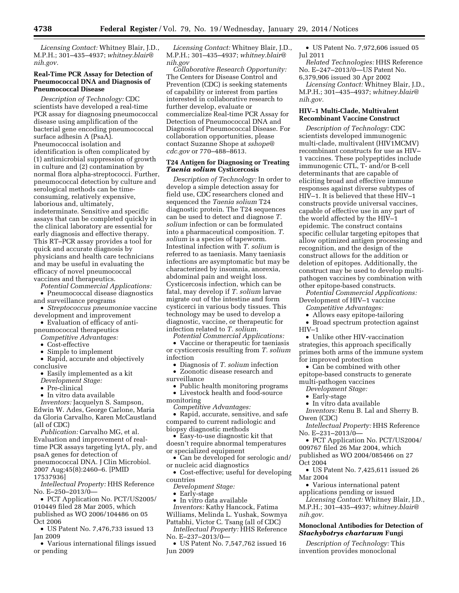*Licensing Contact:* Whitney Blair, J.D., M.P.H.; 301–435–4937; *[whitney.blair@](mailto:whitney.blair@nih.gov) [nih.gov.](mailto:whitney.blair@nih.gov)* 

#### **Real-Time PCR Assay for Detection of Pneumococcal DNA and Diagnosis of Pneumococcal Disease**

*Description of Technology:* CDC scientists have developed a real-time PCR assay for diagnosing pneumococcal disease using amplification of the bacterial gene encoding pneumococcal surface adhesin A (PsaA). Pneumococcal isolation and identification is often complicated by (1) antimicrobial suppression of growth in culture and (2) contamination by normal flora alpha-streptococci. Further, pneumococcal detection by culture and serological methods can be timeconsuming, relatively expensive, laborious and, ultimately, indeterminate. Sensitive and specific assays that can be completed quickly in the clinical laboratory are essential for early diagnosis and effective therapy. This RT–PCR assay provides a tool for quick and accurate diagnosis by physicians and health care technicians and may be useful in evaluating the efficacy of novel pneumococcal vaccines and therapeutics.

*Potential Commercial Applications:*  • Pneumococcal disease diagnostics and surveillance programs

- *Streptococcus pneumoniae* vaccine development and improvement
- Evaluation of efficacy of antipneumococcal therapeutics
- *Competitive Advantages:*
- Cost-effective
- Simple to implement
- Rapid, accurate and objectively conclusive
	- Easily implemented as a kit
	- *Development Stage:*
	- Pre-clinical
	- In vitro data available

*Inventors:* Jacquelyn S. Sampson, Edwin W. Ades, George Carlone, Maria da Gloria Carvalho, Karen McCaustland (all of CDC)

*Publication:* Carvalho MG, et al. Evaluation and improvement of realtime PCR assays targeting lytA, ply, and psaA genes for detection of pneumococcal DNA. J Clin Microbiol. 2007 Aug;45(8):2460–6. [PMID 17537936]

*Intellectual Property:* HHS Reference No. E–250–2013/0—

• PCT Application No. PCT/US2005/ 010449 filed 28 Mar 2005, which published as WO 2006/104486 on 05 Oct 2006

• US Patent No. 7,476,733 issued 13 Jan 2009

• Various international filings issued or pending

*Licensing Contact:* Whitney Blair, J.D., M.P.H.; 301–435–4937; *[whitney.blair@](mailto:whitney.blair@nih.gov) [nih.gov](mailto:whitney.blair@nih.gov)* 

*Collaborative Research Opportunity:*  The Centers for Disease Control and Prevention (CDC) is seeking statements of capability or interest from parties interested in collaborative research to further develop, evaluate or commercialize Real-time PCR Assay for Detection of Pneumococcal DNA and Diagnosis of Pneumococcal Disease. For collaboration opportunities, please contact Suzanne Shope at *[sshope@](mailto:sshope@cdc.gov) [cdc.gov](mailto:sshope@cdc.gov)* or 770–488–8613.

#### **T24 Antigen for Diagnosing or Treating**  *Taenia solium* **Cysticercosis**

*Description of Technology:* In order to develop a simple detection assay for field use, CDC researchers cloned and sequenced the *Taenia solium* T24 diagnostic protein. The T24 sequences can be used to detect and diagnose *T. solium* infection or can be formulated into a pharmaceutical composition. *T. solium* is a species of tapeworm. Intestinal infection with *T. solium* is referred to as taeniasis. Many taeniasis infections are asymptomatic but may be characterized by insomnia, anorexia, abdominal pain and weight loss. Cysticercosis infection, which can be fatal, may develop if *T. solium* larvae migrate out of the intestine and form cysticerci in various body tissues. This technology may be used to develop a diagnostic, vaccine, or therapeutic for infection related to *T. solium.* 

*Potential Commercial Applications:* 

• Vaccine or therapeutic for taeniasis or cysticercosis resulting from *T. solium*  infection

• Diagnosis of *T. solium* infection • Zoonotic disease research and

surveillance

- Public health monitoring programs
- Livestock health and food-source
- monitoring

*Competitive Advantages:* 

• Rapid, accurate, sensitive, and safe compared to current radiologic and biopsy diagnostic methods

• Easy-to-use diagnostic kit that doesn't require abnormal temperatures or specialized equipment

• Can be developed for serologic and/ or nucleic acid diagnostics

• Cost-effective; useful for developing countries

*Development Stage:* 

• Early-stage

• In vitro data available

*Inventors:* Kathy Hancock, Fatima Williams, Melinda L. Yushak, Sowmya

Pattabhi, Victor C. Tsang (all of CDC) *Intellectual Property:* HHS Reference

- No. E–237–2013/0—
- US Patent No. 7,547,762 issued 16 Jun 2009

• US Patent No. 7,972,606 issued 05 Jul 2011

*Related Technologies:* HHS Reference No. E–247–2013/0—US Patent No. 6,379,906 issued 30 Apr 2002 *Licensing Contact:* Whitney Blair, J.D.,

M.P.H.; 301–435–4937; *[whitney.blair@](mailto:whitney.blair@nih.gov) [nih.gov.](mailto:whitney.blair@nih.gov)* 

## **HIV–1 Multi-Clade, Multivalent Recombinant Vaccine Construct**

*Description of Technology:* CDC scientists developed immunogenic multi-clade, multivalent (HIV1MCMV) recombinant constructs for use as HIV– 1 vaccines. These polypeptides include immunogenic CTL, T- and/or B-cell determinants that are capable of eliciting broad and effective immune responses against diverse subtypes of HIV–1. It is believed that these HIV–1 constructs provide universal vaccines, capable of effective use in any part of the world affected by the HIV–1 epidemic. The construct contains specific cellular targeting epitopes that allow optimized antigen processing and recognition, and the design of the construct allows for the addition or deletion of epitopes. Additionally, the construct may be used to develop multipathogen vaccines by combination with other epitope-based constructs.

*Potential Commercial Applications:*  Development of HIV–1 vaccine

*Competitive Advantages:* 

- Allows easy epitope-tailoring
- Broad spectrum protection against HIV–1
- Unlike other HIV-vaccination strategies, this approach specifically primes both arms of the immune system for improved protection
- Can be combined with other epitope-based constructs to generate
- multi-pathogen vaccines
	- *Development Stage:*
	- Early-stage
	- In vitro data available
- *Inventors:* Renu B. Lal and Sherry B. Owen (CDC)
- *Intellectual Property:* HHS Reference No. E–231–2013/0—
- PCT Application No. PCT/US2004/ 009767 filed 26 Mar 2004, which
- published as WO 2004/085466 on 27 Oct 2004
- US Patent No. 7,425,611 issued 26 Mar 2004
- Various international patent applications pending or issued
- *Licensing Contact:* Whitney Blair, J.D., M.P.H.; 301–435–4937; *[whitney.blair@](mailto:whitney.blair@nih.gov) [nih.gov.](mailto:whitney.blair@nih.gov)*

### **Monoclonal Antibodies for Detection of**  *Stachybotrys chartarum* **Fungi**

*Description of Technology:* This invention provides monoclonal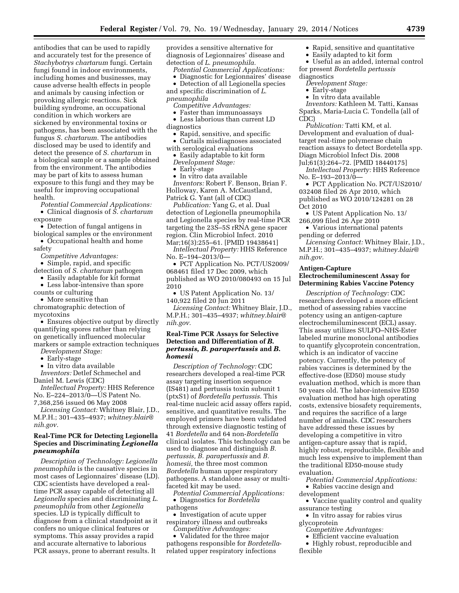antibodies that can be used to rapidly and accurately test for the presence of *Stachybotrys chartarum* fungi. Certain fungi found in indoor environments, including homes and businesses, may cause adverse health effects in people and animals by causing infection or provoking allergic reactions. Sick building syndrome, an occupational condition in which workers are sickened by environmental toxins or pathogens, has been associated with the fungus *S. chartarum.* The antibodies disclosed may be used to identify and detect the presence of *S. chartarum* in a biological sample or a sample obtained from the environment. The antibodies may be part of kits to assess human exposure to this fungi and they may be useful for improving occupational health.

*Potential Commercial Applications:*  • Clinical diagnosis of *S. chartarum* 

- exposure • Detection of fungal antigens in biological samples or the environment
- Occupational health and home safety
	- *Competitive Advantages:*
- Simple, rapid, and specific detection of *S. chartarum* pathogen
- Easily adaptable for kit format • Less labor-intensive than spore
- counts or culturing
- More sensitive than

chromatographic detection of mycotoxins

• Ensures objective output by directly quantifying spores rather than relying on genetically influenced molecular markers or sample extraction techniques

*Development Stage:* 

• Early-stage

• In vitro data available

*Inventors:* Detlef Schmechel and Daniel M. Lewis (CDC)

*Intellectual Property:* HHS Reference No. E–224–2013/0—US Patent No. 7,368,256 issued 06 May 2008

*Licensing Contact:* Whitney Blair, J.D., M.P.H.; 301–435–4937; *[whitney.blair@](mailto:whitney.blair@nih.gov) [nih.gov.](mailto:whitney.blair@nih.gov)* 

### **Real-Time PCR for Detecting Legionella Species and Discriminating** *Legionella pneumophila*

*Description of Technology: Legionella pneumophila* is the causative species in most cases of Legionnaires' disease (LD). CDC scientists have developed a realtime PCR assay capable of detecting all *Legionella* species and discriminating *L. pneumophila* from other *Legionella*  species. LD is typically difficult to diagnose from a clinical standpoint as it confers no unique clinical features or symptoms. This assay provides a rapid and accurate alternative to laborious PCR assays, prone to aberrant results. It

provides a sensitive alternative for diagnosis of Legionnaires' disease and detection of *L. pneumophila.* 

- *Potential Commercial Applications:*
- Diagnostic for Legionnaires' disease

• Detection of all Legionella species and specific discrimination of *L. pneumophila* 

- *Competitive Advantages:*
- Faster than immunoassays

• Less laborious than current LD diagnostics

- Rapid, sensitive, and specific • Curtails misdiagnoses associated
- with serological evaluations
- Easily adaptable to kit form *Development Stage:*
- Early-stage
- In vitro data available

*Inventors:* Robert F. Benson, Brian F. Holloway, Karen A. McCaustland, Patrick G. Yant (all of CDC)

*Publication:* Yang G, et al. Dual detection of Legionella pneumophila and Legionella species by real-time PCR targeting the 23S–5S rRNA gene spacer region. Clin Microbiol Infect. 2010 Mar;16(3):255–61. [PMID 19438641]

*Intellectual Property:* HHS Reference No. E–194–2013/0—

• PCT Application No. PCT/US2009/ 068461 filed 17 Dec 2009, which published as WO 2010/080493 on 15 Jul 2010

• US Patent Application No. 13/ 140,922 filed 20 Jun 2011

*Licensing Contact:* Whitney Blair, J.D., M.P.H.; 301–435–4937; *[whitney.blair@](mailto:whitney.blair@nih.gov) [nih.gov.](mailto:whitney.blair@nih.gov)* 

### **Real-Time PCR Assays for Selective Detection and Differentiation of** *B. pertussis, B. parapertussis* **and** *B. homesii*

*Description of Technology:* CDC researchers developed a real-time PCR assay targeting insertion sequence (IS481) and pertussis toxin subunit 1 (ptxS1) of *Bordetella pertussis.* This real-time nucleic acid assay offers rapid, sensitive, and quantitative results. The employed primers have been validated through extensive diagnostic testing of 41 *Bordetella* and 64 non-*Bordetella*  clinical isolates. This technology can be used to diagnose and distinguish *B. pertussis, B. parapertussis* and *B. homesii,* the three most common *Bordetella* human upper respiratory pathogens. A standalone assay or multifaceted kit may be used.

*Potential Commercial Applications:*  • Diagnostics for *Bordetella* 

pathogens

• Investigation of acute upper respiratory illness and outbreaks *Competitive Advantages:* 

• Validated for the three major pathogens responsible for *Bordetella*related upper respiratory infections

- Rapid, sensitive and quantitative
- Easily adapted to kit form

• Useful as an added, internal control for present *Bordetella pertussis* 

- diagnostics *Development Stage:* 
	-
	- Early-stage • In vitro data available

*Inventors:* Kathleen M. Tatti, Kansas Sparks, Maria-Lucia C. Tondella (all of

CDC) *Publication:* Tatti KM, et al.

Development and evaluation of dualtarget real-time polymerase chain reaction assays to detect Bordetella spp. Diagn Microbiol Infect Dis. 2008

Jul;61(3):264–72. [PMID 18440175] *Intellectual Property:* HHS Reference No. E–193–2013/0—

• PCT Application No. PCT/US2010/ 032408 filed 26 Apr 2010, which published as WO 2010/124281 on 28

Oct 2010 • US Patent Application No. 13/

266,099 filed 26 Apr 2010

• Various international patents pending or deferred

*Licensing Contact:* Whitney Blair, J.D., M.P.H.; 301–435–4937; *[whitney.blair@](mailto:whitney.blair@nih.gov) [nih.gov.](mailto:whitney.blair@nih.gov)* 

#### **Antigen-Capture Electrochemiluminescent Assay for Determining Rabies Vaccine Potency**

*Description of Technology:* CDC researchers developed a more efficient method of assessing rabies vaccine potency using an antigen-capture electrochemiluminescent (ECL) assay. This assay utilizes SULFO–NHS-Ester labeled murine monoclonal antibodies to quantify glycoprotein concentration, which is an indicator of vaccine potency. Currently, the potency of rabies vaccines is determined by the effective-dose (ED50) mouse study evaluation method, which is more than 50 years old. The labor-intensive ED50 evaluation method has high operating costs, extensive biosafety requirements, and requires the sacrifice of a large number of animals. CDC researchers have addressed these issues by developing a competitive in vitro antigen-capture assay that is rapid, highly robust, reproducible, flexible and much less expensive to implement than the traditional ED50-mouse study evaluation.

- *Potential Commercial Applications:*
- Rabies vaccine design and development

• Vaccine quality control and quality assurance testing

- In vitro assay for rabies virus glycoprotein
	- *Competitive Advantages:*
	- Efficient vaccine evaluation
- Highly robust, reproducible and flexible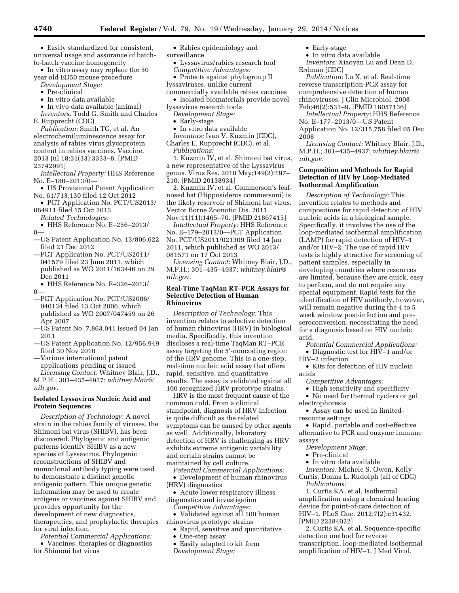• Easily standardized for consistent, universal usage and assurance of batchto-batch vaccine homogeneity

• In vitro assay may replace the 50 year old ED50 mouse procedure

- *Development Stage:*
- Pre-clinical
- In vitro data available

• In vivo data available (animal) *Inventors:* Todd G. Smith and Charles E. Rupprecht (CDC)

*Publication:* Smith TG, et al. An electrochemiluminescence assay for analysis of rabies virus glycoprotein content in rabies vaccines. Vaccine. 2013 Jul 18;31(33):3333–8. [PMID 23742991]

*Intellectual Property:* HHS Reference No. E–180–2013/0—

- US Provisional Patent Application No. 61/713,130 filed 12 Oct 2012
- PCT Application No. PCT/US2013/ 064911 filed 15 Oct 2013

*Related Technologies:* 

- HHS Reference No. E–256–2013/  $0-$
- —US Patent Application No. 13/806,622 filed 21 Dec 2012
- —PCT Application No. PCT/US2011/ 041579 filed 23 June 2011, which published as WO 2011/163446 on 29 Dec 2011

• HHS Reference No. E–326–2013/  $\Omega$ 

- —PCT Application No. PCT/US2006/ 040134 filed 13 Oct 2006, which published as WO 2007/047459 on 26 Apr 2007
- —US Patent No. 7,863,041 issued 04 Jan 2011
- —US Patent Application No. 12/956,949 filed 30 Nov 2010
- —Various international patent applications pending or issued *Licensing Contact:* Whitney Blair, J.D.,

M.P.H.; 301–435–4937; *[whitney.blair@](mailto:whitney.blair@nih.gov) [nih.gov.](mailto:whitney.blair@nih.gov)* 

### **Isolated Lyssavirus Nucleic Acid and Protein Sequences**

*Description of Technology:* A novel strain in the rabies family of viruses, the Shimoni bat virus (SHIBV), has been discovered. Phylogenic and antigenic patterns identify SHIBV as a new species of Lyssavirus. Phylogenic reconstructions of SHIBV and monoclonal antibody typing were used to demonstrate a distinct genetic antigenic pattern. This unique genetic information may be used to create antigens or vaccines against SHIBV and provides opportunity for the development of new diagnostics, therapeutics, and prophylactic therapies for viral infection.

*Potential Commercial Applications:*  • Vaccines, therapies or diagnostics for Shimoni bat virus

- Rabies epidemiology and
- surveillance
	- Lyssavirus/rabies research tool *Competitive Advantages:*
- Protects against phylogroup II lyssaviruses, unlike current commercially available rabies vaccines
- Isolated biomaterials provide novel lyssavirus research tools
	- *Development Stage:*
	- Early-stage
- In vitro data available
- *Inventors:* Ivan V. Kuzmin (CDC), Charles E. Rupprecht (CDC), et al.
	- *Publications:*

1. Kuzmin IV, et al. Shimoni bat virus, a new representative of the Lyssavirus genus. Virus Res. 2010 May;149(2):197– 210. [PMID 20138934]

2. Kuzmin IV, et al. Commerson's leafnosed bat (Hipposideros commersoni) is the likely reservoir of Shimoni bat virus. Vector Borne Zoonotic Dis. 2011 Nov;11(11):1465–70. [PMID 21867415]

*Intellectual Property:* HHS Reference No. E–179–2013/0—PCT Application No. PCT/US2011/021309 filed 14 Jan 2011, which published as WO 2013/ 081571 on 17 Oct 2013

*Licensing Contact:* Whitney Blair, J.D., M.P.H.; 301–435–4937; *[whitney.blair@](mailto:whitney.blair@nih.gov) [nih.gov.](mailto:whitney.blair@nih.gov)* 

#### **Real-Time TaqMan RT–PCR Assays for Selective Detection of Human Rhinovirus**

*Description of Technology:* This invention relates to selective detection of human rhinovirus (HRV) in biological media. Specifically, this invention discloses a real-time TaqMan RT–PCR assay targeting the 5′-noncoding region of the HRV genome. This is a one-step, real-time nucleic acid assay that offers rapid, sensitive, and quantitative results. The assay is validated against all 100 recognized HRV prototype strains.

HRV is the most frequent cause of the common cold. From a clinical standpoint, diagnosis of HRV infection is quite difficult as the related symptoms can be caused by other agents as well. Additionally, laboratory detection of HRV is challenging as HRV exhibits extreme antigenic variability and certain strains cannot be maintained by cell culture.

*Potential Commercial Applications:*  • Development of human rhinovirus (HRV) diagnostics

• Acute lower respiratory illness diagnostics and investigation *Competitive Advantages:* 

• Validated against all 100 human rhinovirus prototype strains

- Rapid, sensitive and quantitative
- One-step assay
- Easily adapted to kit form *Development Stage:*
- Early-stage
- In vitro data available

*Inventors:* Xiaoyan Lu and Dean D. Erdman (CDC)

*Publication:* Lu X, et al. Real-time reverse transcription-PCR assay for comprehensive detection of human rhinoviruses. J Clin Microbiol. 2008 Feb;46(2):533–9. [PMID 18057136]

*Intellectual Property:* HHS Reference No. E–177–2013/0—US Patent Application No. 12/315,758 filed 05 Dec 2008

*Licensing Contact:* Whitney Blair, J.D., M.P.H.; 301–435–4937; *[whitney.blair@](mailto:whitney.blair@nih.gov) [nih.gov.](mailto:whitney.blair@nih.gov)* 

#### **Composition and Methods for Rapid Detection of HIV by Loop-Mediated Isothermal Amplification**

*Description of Technology:* This invention relates to methods and compositions for rapid detection of HIV nucleic acids in a biological sample. Specifically, it involves the use of the loop-mediated isothermal amplification (LAMP) for rapid detection of HIV–1 and/or HIV–2. The use of rapid HIV tests is highly attractive for screening of patient samples, especially in developing countries where resources are limited, because they are quick, easy to perform, and do not require any special equipment. Rapid tests for the identification of HIV antibody, however, will remain negative during the 4 to 5 week window post-infection and preseroconversion, necessitating the need for a diagnosis based on HIV nucleic acid.

*Potential Commercial Applications:*  • Diagnostic test for HIV–1 and/or

HIV–2 infection

• Kits for detection of HIV nucleic acids

*Competitive Advantages:* 

• High sensitivity and specificity

• No need for thermal cyclers or gel electrophoresis

• Assay can be used in limitedresource settings

• Rapid, portable and cost-effective alternative to PCR and enzyme immune assays

*Development Stage:* 

• Pre-clinical

• In vitro data available

*Inventors:* Michele S. Owen, Kelly Curtis, Donna L. Rudolph (all of CDC) *Publications:* 

1. Curtis KA, et al. Isothermal amplification using a chemical heating device for point-of-care detection of HIV–1. PLoS One. 2012;7(2):e31432. [PMID 22384022]

2. Curtis KA, et al. Sequence-specific detection method for reverse transcription, loop-mediated isothermal amplification of HIV–1. J Med Virol.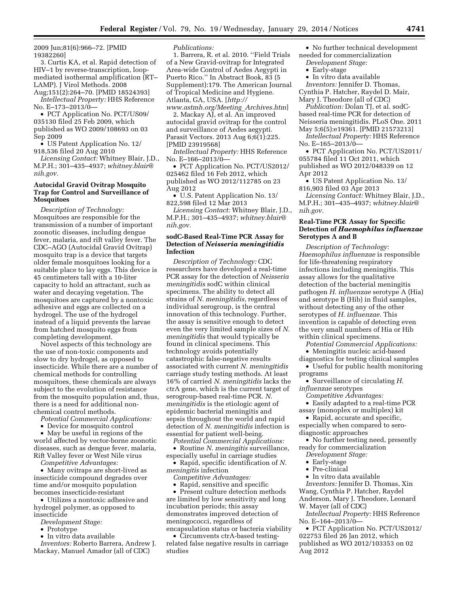2009 Jun;81(6):966–72. [PMID 19382260]

3. Curtis KA, et al. Rapid detection of HIV–1 by reverse-transcription, loopmediated isothermal amplification (RT– LAMP). J Virol Methods. 2008

Aug;151(2):264–70. [PMID 18524393] *Intellectual Property:* HHS Reference No. E–173–2013/0—

• PCT Application No. PCT/US09/ 035130 filed 25 Feb 2009, which published as WO 2009/108693 on 03 Sep 2009

• US Patent Application No. 12/ 918,536 filed 20 Aug 2010

*Licensing Contact:* Whitney Blair, J.D., M.P.H.; 301–435–4937; *[whitney.blair@](mailto:whitney.blair@nih.gov) [nih.gov.](mailto:whitney.blair@nih.gov)* 

### **Autocidal Gravid Ovitrap Mosquito Trap for Control and Surveillance of Mosquitoes**

*Description of Technology:*  Mosquitoes are responsible for the transmission of a number of important zoonotic diseases, including dengue fever, malaria, and rift valley fever. The CDC–AGO (Autocidal Gravid Ovitrap) mosquito trap is a device that targets older female mosquitoes looking for a suitable place to lay eggs. This device is 45 centimeters tall with a 10-liter capacity to hold an attractant, such as water and decaying vegetation. The mosquitoes are captured by a nontoxic adhesive and eggs are collected on a hydrogel. The use of the hydrogel instead of a liquid prevents the larvae from hatched mosquito eggs from completing development.

Novel aspects of this technology are the use of non-toxic components and slow to dry hydrogel, as opposed to insecticide. While there are a number of chemical methods for controlling mosquitoes, these chemicals are always subject to the evolution of resistance from the mosquito population and, thus, there is a need for additional nonchemical control methods.

*Potential Commercial Applications:* 

• Device for mosquito control

• May be useful in regions of the world affected by vector-borne zoonotic diseases, such as dengue fever, malaria, Rift Valley fever or West Nile virus

*Competitive Advantages:* 

• Many ovitraps are short-lived as insecticide compound degrades over time and/or mosquito population becomes insecticide-resistant

• Utilizes a nontoxic adhesive and hydrogel polymer, as opposed to insecticide

*Development Stage:* 

• Prototype

• In vitro data available

*Inventors:* Roberto Barrera, Andrew J. Mackay, Manuel Amador (all of CDC)

*Publications:* 

1. Barrera, R. et al. 2010. ''Field Trials of a New Gravid-ovitrap for Integrated Area-wide Control of Aedes Aegypti in Puerto Rico.'' In Abstract Book, 83 (5 Supplement):179. The American Journal of Tropical Medicine and Hygiene. Atlanta, GA, USA. [*[http://](http://www.astmh.org/Meeting_Archives.htm) [www.astmh.org/Meeting](http://www.astmh.org/Meeting_Archives.htm)*\_*Archives.htm*]

2. Mackay AJ, et al. An improved autocidal gravid ovitrap for the control and surveillance of Aedes aegypti. Parasit Vectors. 2013 Aug 6;6(1):225. [PMID 23919568]

*Intellectual Property:* HHS Reference No. E–166–2013/0—

• PCT Application No. PCT/US2012/ 025462 filed 16 Feb 2012, which published as WO 2012/112785 on 23 Aug 2012

• U.S. Patent Application No. 13/ 822,598 filed 12 Mar 2013

*Licensing Contact:* Whitney Blair, J.D., M.P.H.; 301–435–4937; *[whitney.blair@](mailto:whitney.blair@nih.gov) [nih.gov.](mailto:whitney.blair@nih.gov)* 

### **sodC-Based Real-Time PCR Assay for Detection of** *Neisseria meningitidis*  **Infection**

*Description of Technology:* CDC researchers have developed a real-time PCR assay for the detection of *Neisseria meningitidis* sodC within clinical specimens. The ability to detect all strains of *N. meningitidis,* regardless of individual serogroup, is the central innovation of this technology. Further, the assay is sensitive enough to detect even the very limited sample sizes of *N. meningitidis* that would typically be found in clinical specimens. This technology avoids potentially catastrophic false-negative results associated with current *N. meningitidis*  carriage study testing methods. At least 16% of carried *N. meningitidis* lacks the ctrA gene, which is the current target of serogroup-based real-time PCR. *N. meningitidis* is the etiologic agent of epidemic bacterial meningitis and sepsis throughout the world and rapid detection of *N. meningitidis* infection is essential for patient well-being.

*Potential Commercial Applications:*  • Routine *N. meningitis* surveillance, especially useful in carriage studies

• Rapid, specific identification of *N. meningitis* infection

*Competitive Advantages:* 

• Rapid, sensitive and specific

• Present culture detection methods are limited by low sensitivity and long incubation periods; this assay demonstrates improved detection of meningococci, regardless of encapsulation status or bacteria viability

• Circumvents ctrA-based testingrelated false negative results in carriage studies

• No further technical development needed for commercialization

*Development Stage:* 

- Early-stage
- In vitro data available

*Inventors:* Jennifer D. Thomas, Cynthia P. Hatcher, Raydel D. Mair, Mary J. Theodore (all of CDC)

*Publication:* Dolan TJ, et al. sodCbased real-time PCR for detection of Neisseria meningitidis. PLoS One. 2011 May 5;6(5):e19361. [PMID 21573213]

*Intellectual Property:* HHS Reference No. E–165–2013/0—

• PCT Application No. PCT/US2011/ 055784 filed 11 Oct 2011, which published as WO 2012/048339 on 12 Apr 2012

• US Patent Application No. 13/ 816,903 filed 03 Apr 2013

*Licensing Contact:* Whitney Blair, J.D., M.P.H.; 301–435–4937; *[whitney.blair@](mailto:whitney.blair@nih.gov) [nih.gov.](mailto:whitney.blair@nih.gov)* 

### **Real-Time PCR Assay for Specific Detection of** *Haemophilus influenzae*  **Serotypes A and B**

*Description of Technology: Haemophilus influenzae* is responsible for life-threatening respiratory infections including meningitis. This assay allows for the qualitative detection of the bacterial meningitis pathogen *H. influenzae* serotype A (Hia) and serotype B (Hib) in fluid samples, without detecting any of the other serotypes of *H. influenzae.* This invention is capable of detecting even the very small numbers of Hia or Hib within clinical specimens.

*Potential Commercial Applications:* 

• Meningitis nucleic acid-based diagnostics for testing clinical samples

• Useful for public health monitoring programs

• Surveillance of circulating *H.* 

*influenzae* serotypes *Competitive Advantages:* 

• Easily adapted to a real-time PCR assay (monoplex or multiplex) kit

• Rapid, accurate and specific, especially when compared to sero-

diagnostic approaches

• No further testing need, presently ready for commercialization

*Development Stage:* 

- Early-stage
- Pre-clinical

• In vitro data available

*Inventors:* Jennifer D. Thomas, Xin Wang, Cynthia P. Hatcher, Raydel Anderson, Mary J. Theodore, Leonard W. Mayer (all of CDC)

*Intellectual Property:* HHS Reference No. E–164–2013/0—

• PCT Application No. PCT/US2012/ 022753 filed 26 Jan 2012, which published as WO 2012/103353 on 02 Aug 2012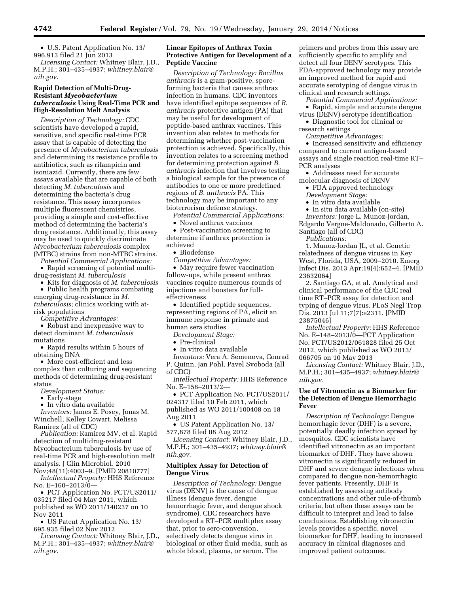• U.S. Patent Application No. 13/ 996,913 filed 21 Jun 2013

*Licensing Contact:* Whitney Blair, J.D., M.P.H.; 301–435–4937; *[whitney.blair@](mailto:whitney.blair@nih.gov) [nih.gov.](mailto:whitney.blair@nih.gov)* 

### **Rapid Detection of Multi-Drug-Resistant** *Mycobacterium tuberculosis* **Using Real-Time PCR and High-Resolution Melt Analysis**

*Description of Technology:* CDC scientists have developed a rapid, sensitive, and specific real-time PCR assay that is capable of detecting the presence of *Mycobacterium tuberculosis*  and determining its resistance profile to antibiotics, such as rifampicin and isoniazid. Currently, there are few assays available that are capable of both detecting *M. tuberculosis* and determining the bacteria's drug resistance. This assay incorporates multiple fluorescent chemistries, providing a simple and cost-effective method of determining the bacteria's drug resistance. Additionally, this assay may be used to quickly discriminate *Mycobacterium tuberculosis* complex (MTBC) strains from non-MTBC strains.

*Potential Commercial Applications:* 

• Rapid screening of potential multidrug-resistant *M. tuberculosis* 

• Kits for diagnosis of *M. tuberculosis*  • Public health programs combating emerging drug-resistance in *M. tuberculosis;* clinics working with atrisk populations

*Competitive Advantages:* 

• Robust and inexpensive way to detect dominant *M. tuberculosis*  mutations

• Rapid results within 5 hours of obtaining DNA

• More cost-efficient and less complex than culturing and sequencing methods of determining drug-resistant status

*Development Status:* 

• Early-stage

• In vitro data available

*Inventors:* James E. Posey, Jonas M. Winchell, Kelley Cowart, Melissa Ramirez (all of CDC)

*Publication:* Ramirez MV, et al. Rapid detection of multidrug-resistant Mycobacterium tuberculosis by use of real-time PCR and high-resolution melt analysis. J Clin Microbiol. 2010

Nov;48(11):4003–9. [PMID 20810777] *Intellectual Property:* HHS Reference No. E–160–2013/0—

• PCT Application No. PCT/US2011/ 035217 filed 04 May 2011, which published as WO 2011/140237 on 10 Nov 2011

• US Patent Application No. 13/ 695,935 filed 02 Nov 2012

*Licensing Contact:* Whitney Blair, J.D., M.P.H.; 301–435–4937; *[whitney.blair@](mailto:whitney.blair@nih.gov) [nih.gov.](mailto:whitney.blair@nih.gov)* 

### **Linear Epitopes of Anthrax Toxin Protective Antigen for Development of a Peptide Vaccine**

*Description of Technology: Bacillus anthracis* is a gram-positive, sporeforming bacteria that causes anthrax infection in humans. CDC inventors have identified epitope sequences of *B. anthracis* protective antigen (PA) that may be useful for development of peptide-based anthrax vaccines. This invention also relates to methods for determining whether post-vaccination protection is achieved. Specifically, this invention relates to a screening method for determining protection against *B. anthracis* infection that involves testing a biological sample for the presence of antibodies to one or more predefined regions of *B. anthracis* PA. This technology may be important to any bioterrorism defense strategy.

*Potential Commercial Applications:* 

• Novel anthrax vaccines

• Post-vaccination screening to determine if anthrax protection is achieved

• Biodefense

*Competitive Advantages:* 

• May require fewer vaccination follow-ups, while present anthrax vaccines require numerous rounds of injections and boosters for fulleffectiveness

• Identified peptide sequences, representing regions of PA, elicit an immune response in primate and human sera studies

*Development Stage:* 

• Pre-clinical

• In vitro data available

*Inventors:* Vera A. Semenova, Conrad P. Quinn, Jan Pohl, Pavel Svoboda (all of CDC)

*Intellectual Property:* HHS Reference No. E–158–2013/2—

• PCT Application No. PCT/US2011/ 024317 filed 10 Feb 2011, which published as WO 2011/100408 on 18 Aug 2011

• US Patent Application No. 13/ 577,878 filed 08 Aug 2012

*Licensing Contact:* Whitney Blair, J.D.,

M.P.H.; 301–435–4937; *[whitney.blair@](mailto:whitney.blair@nih.gov)*

# *[nih.gov.](mailto:whitney.blair@nih.gov)*  **Multiplex Assay for Detection of Dengue Virus**

*Description of Technology:* Dengue virus (DENV) is the cause of dengue illness (dengue fever, dengue hemorrhagic fever, and dengue shock syndrome). CDC researchers have developed a RT–PCR multiplex assay that, prior to sero-conversion, selectively detects dengue virus in biological or other fluid media, such as whole blood, plasma, or serum. The

primers and probes from this assay are sufficiently specific to amplify and detect all four DENV serotypes. This FDA-approved technology may provide an improved method for rapid and accurate serotyping of dengue virus in clinical and research settings.

*Potential Commercial Applications:* 

• Rapid, simple and accurate dengue virus (DENV) serotype identification

• Diagnostic tool for clinical or research settings

*Competitive Advantages:* 

• Increased sensitivity and efficiency compared to current antigen-based assays and single reaction real-time RT– PCR analyses

• Addresses need for accurate

molecular diagnosis of DENV • FDA approved technology

*Development Stage:* 

• In vitro data available

• In situ data available (on-site)

*Inventors:* Jorge L. Munoz-Jordan,

Edgardo Vergne-Maldonado, Gilberto A. Santiago (all of CDC)

*Publications:* 

1. Munoz-Jordan JL, et al. Genetic relatedness of dengue viruses in Key West, Florida, USA, 2009–2010. Emerg Infect Dis. 2013 Apr;19(4):652–4. [PMID 23632064]

2. Santiago GA, et al. Analytical and clinical performance of the CDC real time RT–PCR assay for detection and typing of dengue virus. PLoS Negl Trop Dis. 2013 Jul 11;7(7):e2311. [PMID 23875046]

*Intellectual Property:* HHS Reference No. E–148–2013/0—PCT Application No. PCT/US2012/061828 filed 25 Oct 2012, which published as WO 2013/ 066705 on 10 May 2013

*Licensing Contact:* Whitney Blair, J.D., M.P.H.; 301–435–4937; *[whitney.blair@](mailto:whitney.blair@nih.gov) [nih.gov.](mailto:whitney.blair@nih.gov)* 

### **Use of Vitronectin as a Biomarker for the Detection of Dengue Hemorrhagic Fever**

*Description of Technology:* Dengue hemorrhagic fever (DHF) is a severe, potentially deadly infection spread by mosquitos. CDC scientists have identified vitronectin as an important biomarker of DHF. They have shown vitronectin is significantly reduced in DHF and severe dengue infections when compared to dengue non-hemorrhagic fever patients. Presently, DHF is established by assessing antibody concentrations and other rule-of-thumb criteria, but often these assays can be difficult to interpret and lead to false conclusions. Establishing vitronectin levels provides a specific, novel biomarker for DHF, leading to increased accuracy in clinical diagnoses and improved patient outcomes.